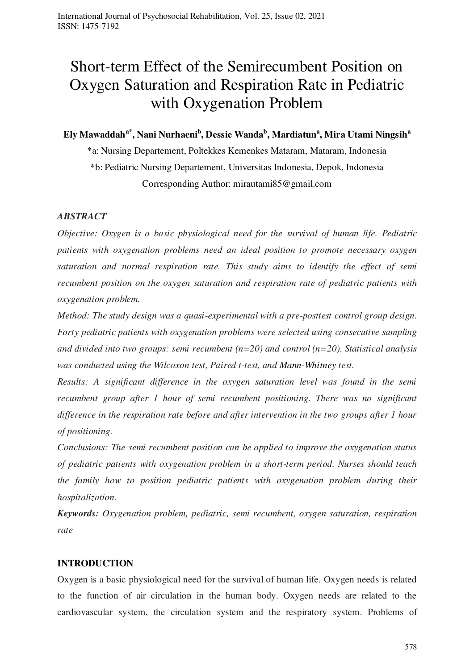# Short-term Effect of the Semirecumbent Position on Oxygen Saturation and Respiration Rate in Pediatric with Oxygenation Problem

# **Ely Mawaddaha\*, Nani Nurhaeni<sup>b</sup> , Dessie Wanda<sup>b</sup> , Mardiatun<sup>a</sup> , Mira Utami Ningsih<sup>a</sup>**

\*a: Nursing Departement, Poltekkes Kemenkes Mataram, Mataram, Indonesia \*b: Pediatric Nursing Departement, Universitas Indonesia, Depok, Indonesia Corresponding Author: mirautami85@gmail.com

# *ABSTRACT*

*Objective: Oxygen is a basic physiological need for the survival of human life. Pediatric patients with oxygenation problems need an ideal position to promote necessary oxygen saturation and normal respiration rate. This study aims to identify the effect of semi recumbent position on the oxygen saturation and respiration rate of pediatric patients with oxygenation problem.*

*Method: The study design was a quasi-experimental with a pre-posttest control group design. Forty pediatric patients with oxygenation problems were selected using consecutive sampling and divided into two groups: semi recumbent (n=20) and control (n=20). Statistical analysis was conducted using the Wilcoxon test, Paired t-test, and Mann-Whitney test.* 

*Results: A significant difference in the oxygen saturation level was found in the semi recumbent group after 1 hour of semi recumbent positioning. There was no significant difference in the respiration rate before and after intervention in the two groups after 1 hour of positioning.* 

*Conclusions: The semi recumbent position can be applied to improve the oxygenation status of pediatric patients with oxygenation problem in a short-term period. Nurses should teach the family how to position pediatric patients with oxygenation problem during their hospitalization.* 

*Keywords: Oxygenation problem, pediatric, semi recumbent, oxygen saturation, respiration rate*

# **INTRODUCTION**

Oxygen is a basic physiological need for the survival of human life. Oxygen needs is related to the function of air circulation in the human body. Oxygen needs are related to the cardiovascular system, the circulation system and the respiratory system. Problems of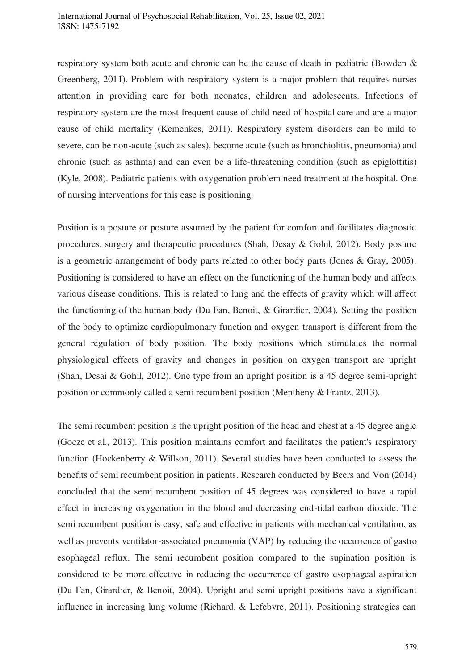respiratory system both acute and chronic can be the cause of death in pediatric (Bowden & Greenberg, 2011). Problem with respiratory system is a major problem that requires nurses attention in providing care for both neonates, children and adolescents. Infections of respiratory system are the most frequent cause of child need of hospital care and are a major cause of child mortality (Kemenkes, 2011). Respiratory system disorders can be mild to severe, can be non-acute (such as sales), become acute (such as bronchiolitis, pneumonia) and chronic (such as asthma) and can even be a life-threatening condition (such as epiglottitis) (Kyle, 2008). Pediatric patients with oxygenation problem need treatment at the hospital. One of nursing interventions for this case is positioning.

Position is a posture or posture assumed by the patient for comfort and facilitates diagnostic procedures, surgery and therapeutic procedures (Shah, Desay & Gohil, 2012). Body posture is a geometric arrangement of body parts related to other body parts (Jones & Gray, 2005). Positioning is considered to have an effect on the functioning of the human body and affects various disease conditions. This is related to lung and the effects of gravity which will affect the functioning of the human body (Du Fan, Benoit, & Girardier, 2004). Setting the position of the body to optimize cardiopulmonary function and oxygen transport is different from the general regulation of body position. The body positions which stimulates the normal physiological effects of gravity and changes in position on oxygen transport are upright (Shah, Desai & Gohil, 2012). One type from an upright position is a 45 degree semi-upright position or commonly called a semi recumbent position (Mentheny & Frantz, 2013).

The semi recumbent position is the upright position of the head and chest at a 45 degree angle (Gocze et al., 2013). This position maintains comfort and facilitates the patient's respiratory function (Hockenberry & Willson, 2011). Several studies have been conducted to assess the benefits of semi recumbent position in patients. Research conducted by Beers and Von (2014) concluded that the semi recumbent position of 45 degrees was considered to have a rapid effect in increasing oxygenation in the blood and decreasing end-tidal carbon dioxide. The semi recumbent position is easy, safe and effective in patients with mechanical ventilation, as well as prevents ventilator-associated pneumonia (VAP) by reducing the occurrence of gastro esophageal reflux. The semi recumbent position compared to the supination position is considered to be more effective in reducing the occurrence of gastro esophageal aspiration (Du Fan, Girardier, & Benoit, 2004). Upright and semi upright positions have a significant influence in increasing lung volume (Richard, & Lefebvre, 2011). Positioning strategies can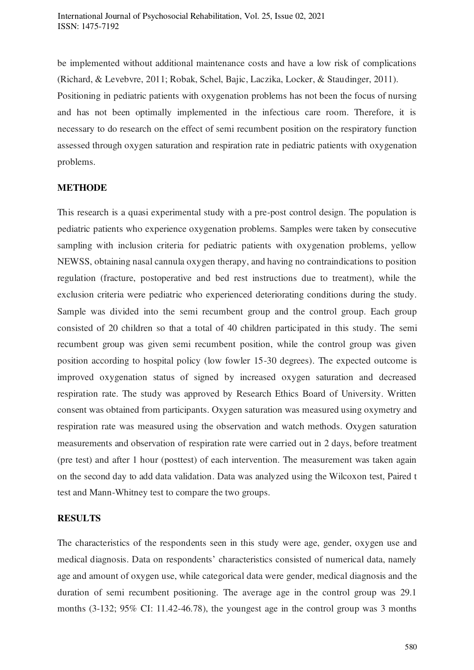be implemented without additional maintenance costs and have a low risk of complications (Richard, & Levebvre, 2011; Robak, Schel, Bajic, Laczika, Locker, & Staudinger, 2011). Positioning in pediatric patients with oxygenation problems has not been the focus of nursing and has not been optimally implemented in the infectious care room. Therefore, it is necessary to do research on the effect of semi recumbent position on the respiratory function assessed through oxygen saturation and respiration rate in pediatric patients with oxygenation problems.

# **METHODE**

This research is a quasi experimental study with a pre-post control design. The population is pediatric patients who experience oxygenation problems. Samples were taken by consecutive sampling with inclusion criteria for pediatric patients with oxygenation problems, yellow NEWSS, obtaining nasal cannula oxygen therapy, and having no contraindications to position regulation (fracture, postoperative and bed rest instructions due to treatment), while the exclusion criteria were pediatric who experienced deteriorating conditions during the study. Sample was divided into the semi recumbent group and the control group. Each group consisted of 20 children so that a total of 40 children participated in this study. The semi recumbent group was given semi recumbent position, while the control group was given position according to hospital policy (low fowler 15-30 degrees). The expected outcome is improved oxygenation status of signed by increased oxygen saturation and decreased respiration rate. The study was approved by Research Ethics Board of University. Written consent was obtained from participants. Oxygen saturation was measured using oxymetry and respiration rate was measured using the observation and watch methods. Oxygen saturation measurements and observation of respiration rate were carried out in 2 days, before treatment (pre test) and after 1 hour (posttest) of each intervention. The measurement was taken again on the second day to add data validation. Data was analyzed using the Wilcoxon test, Paired t test and Mann-Whitney test to compare the two groups.

# **RESULTS**

The characteristics of the respondents seen in this study were age, gender, oxygen use and medical diagnosis. Data on respondents' characteristics consisted of numerical data, namely age and amount of oxygen use, while categorical data were gender, medical diagnosis and the duration of semi recumbent positioning. The average age in the control group was 29.1 months (3-132; 95% CI: 11.42-46.78), the youngest age in the control group was 3 months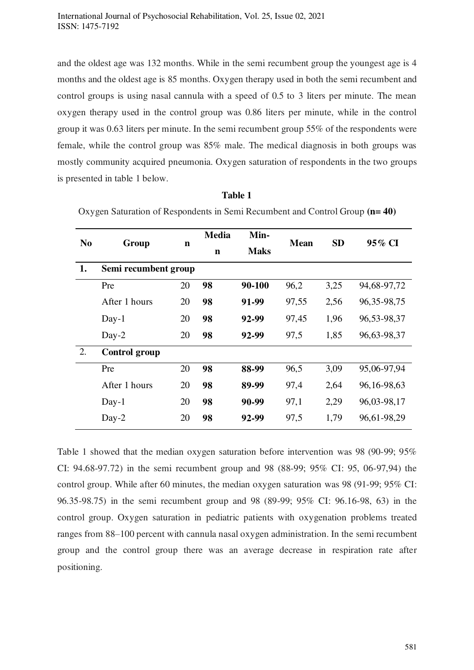and the oldest age was 132 months. While in the semi recumbent group the youngest age is 4 months and the oldest age is 85 months. Oxygen therapy used in both the semi recumbent and control groups is using nasal cannula with a speed of 0.5 to 3 liters per minute. The mean oxygen therapy used in the control group was 0.86 liters per minute, while in the control group it was 0.63 liters per minute. In the semi recumbent group 55% of the respondents were female, while the control group was 85% male. The medical diagnosis in both groups was mostly community acquired pneumonia. Oxygen saturation of respondents in the two groups is presented in table 1 below.

| N <sub>0</sub> | Group                | $\mathbf n$ | <b>Media</b> | Min-        | <b>Mean</b> | <b>SD</b> | 95% CI          |
|----------------|----------------------|-------------|--------------|-------------|-------------|-----------|-----------------|
|                |                      |             | $\mathbf n$  | <b>Maks</b> |             |           |                 |
| 1.             | Semi recumbent group |             |              |             |             |           |                 |
|                | Pre                  | 20          | 98           | 90-100      | 96,2        | 3,25      | 94,68-97,72     |
|                | After 1 hours        | 20          | 98           | 91-99       | 97,55       | 2,56      | 96, 35-98, 75   |
|                | $Day-1$              | 20          | 98           | 92-99       | 97,45       | 1,96      | 96, 53 - 98, 37 |
|                | $Day-2$              | 20          | 98           | 92-99       | 97,5        | 1,85      | 96,63-98,37     |
| 2.             | <b>Control group</b> |             |              |             |             |           |                 |
|                | Pre                  | 20          | 98           | 88-99       | 96,5        | 3,09      | 95,06-97,94     |
|                | After 1 hours        | 20          | 98           | 89-99       | 97,4        | 2,64      | 96, 16-98, 63   |
|                | $Day-1$              | 20          | 98           | 90-99       | 97,1        | 2,29      | 96,03-98,17     |
|                | $Day-2$              | 20          | 98           | 92-99       | 97,5        | 1,79      | 96,61-98,29     |

**Table 1** 

Oxygen Saturation of Respondents in Semi Recumbent and Control Group **(n= 40)**

Table 1 showed that the median oxygen saturation before intervention was 98 (90-99; 95% CI: 94.68-97.72) in the semi recumbent group and 98 (88-99; 95% CI: 95, 06-97,94) the control group. While after 60 minutes, the median oxygen saturation was 98 (91-99; 95% CI: 96.35-98.75) in the semi recumbent group and 98 (89-99; 95% CI: 96.16-98, 63) in the control group. Oxygen saturation in pediatric patients with oxygenation problems treated ranges from 88–100 percent with cannula nasal oxygen administration. In the semi recumbent group and the control group there was an average decrease in respiration rate after positioning.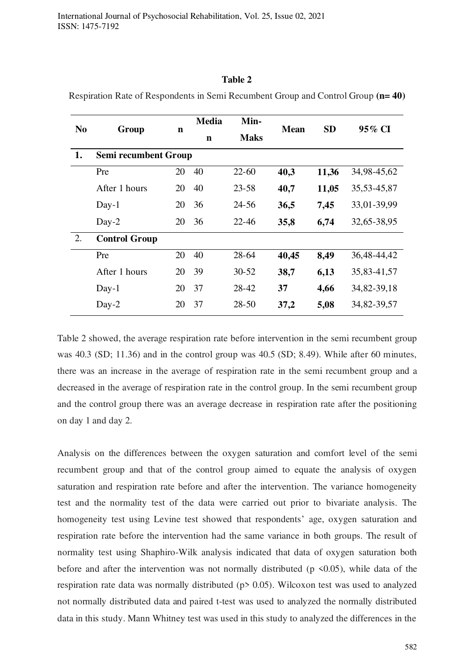International Journal of Psychosocial Rehabilitation, Vol. 25, Issue 02, 2021 ISSN: 1475-7192

#### **Table 2**

| N <sub>0</sub> | Group                |    | <b>Media</b> | Min-        |             | <b>SD</b> | 95% CI          |
|----------------|----------------------|----|--------------|-------------|-------------|-----------|-----------------|
|                |                      | n  | $\mathbf n$  | <b>Maks</b> | <b>Mean</b> |           |                 |
| 1.             | Semi recumbent Group |    |              |             |             |           |                 |
|                | Pre                  | 20 | 40           | $22 - 60$   | 40,3        | 11,36     | 34,98-45,62     |
|                | After 1 hours        | 20 | 40           | $23 - 58$   | 40,7        | 11,05     | 35, 53 - 45, 87 |
|                | $Day-1$              | 20 | 36           | 24-56       | 36,5        | 7,45      | 33,01-39,99     |
|                | $Day-2$              | 20 | 36           | $22 - 46$   | 35,8        | 6,74      | 32,65-38,95     |
| 2.             | <b>Control Group</b> |    |              |             |             |           |                 |
|                | Pre                  | 20 | 40           | $28 - 64$   | 40,45       | 8,49      | 36,48-44,42     |
|                | After 1 hours        | 20 | 39           | $30 - 52$   | 38,7        | 6,13      | 35,83-41,57     |
|                | $Day-1$              | 20 | 37           | 28-42       | 37          | 4,66      | 34, 82 - 39, 18 |
|                | $Day-2$              | 20 | 37           | 28-50       | 37,2        | 5,08      | 34, 82 - 39, 57 |

Respiration Rate of Respondents in Semi Recumbent Group and Control Group **(n= 40)**

Table 2 showed, the average respiration rate before intervention in the semi recumbent group was 40.3 (SD; 11.36) and in the control group was 40.5 (SD; 8.49). While after 60 minutes, there was an increase in the average of respiration rate in the semi recumbent group and a decreased in the average of respiration rate in the control group. In the semi recumbent group and the control group there was an average decrease in respiration rate after the positioning on day 1 and day 2.

Analysis on the differences between the oxygen saturation and comfort level of the semi recumbent group and that of the control group aimed to equate the analysis of oxygen saturation and respiration rate before and after the intervention. The variance homogeneity test and the normality test of the data were carried out prior to bivariate analysis. The homogeneity test using Levine test showed that respondents' age, oxygen saturation and respiration rate before the intervention had the same variance in both groups. The result of normality test using Shaphiro-Wilk analysis indicated that data of oxygen saturation both before and after the intervention was not normally distributed ( $p \le 0.05$ ), while data of the respiration rate data was normally distributed (p> 0.05). Wilcoxon test was used to analyzed not normally distributed data and paired t-test was used to analyzed the normally distributed data in this study. Mann Whitney test was used in this study to analyzed the differences in the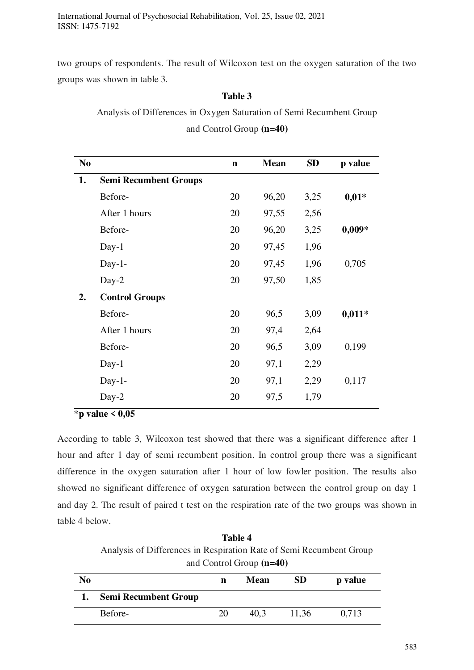International Journal of Psychosocial Rehabilitation, Vol. 25, Issue 02, 2021 ISSN: 1475-7192

two groups of respondents. The result of Wilcoxon test on the oxygen saturation of the two groups was shown in table 3.

### **Table 3**

Analysis of Differences in Oxygen Saturation of Semi Recumbent Group

and Control Group **(n=40)**

| p value  | <b>SD</b> | <b>Mean</b> | $\mathbf n$ |                              | N <sub>0</sub> |
|----------|-----------|-------------|-------------|------------------------------|----------------|
|          |           |             |             | <b>Semi Recumbent Groups</b> | 1.             |
| $0,01*$  | 3,25      | 96,20       | 20          | Before-                      |                |
|          | 2,56      | 97,55       | 20          | After 1 hours                |                |
| $0,009*$ | 3,25      | 96,20       | 20          | Before-                      |                |
|          | 1,96      | 97,45       | 20          | $Day-1$                      |                |
| 0,705    | 1,96      | 97,45       | 20          | $Day-1-$                     |                |
|          | 1,85      | 97,50       | 20          | Day-2                        |                |
|          |           |             |             | <b>Control Groups</b>        | 2.             |
| $0,011*$ | 3,09      | 96,5        | 20          | Before-                      |                |
|          | 2,64      | 97,4        | 20          | After 1 hours                |                |
| 0,199    | 3,09      | 96,5        | 20          | Before-                      |                |
|          | 2,29      | 97,1        | 20          | $Day-1$                      |                |
| 0,117    | 2,29      | 97,1        | 20          | $Day-1-$                     |                |
|          | 1,79      | 97,5        | 20          | Day-2                        |                |
|          |           |             |             | $*$ n volus $\angle$ 0.05    |                |

\***p value < 0,05**

According to table 3, Wilcoxon test showed that there was a significant difference after 1 hour and after 1 day of semi recumbent position. In control group there was a significant difference in the oxygen saturation after 1 hour of low fowler position. The results also showed no significant difference of oxygen saturation between the control group on day 1 and day 2. The result of paired t test on the respiration rate of the two groups was shown in table 4 below.

**Table 4**  Analysis of Differences in Respiration Rate of Semi Recumbent Group and Control Group **(n=40)** 

| N <sub>0</sub> |                             | n  | <b>Mean</b> | <b>SD</b> | p value |
|----------------|-----------------------------|----|-------------|-----------|---------|
|                | <b>Semi Recumbent Group</b> |    |             |           |         |
|                | Before-                     | 20 | 40.3        | 11,36     | 0,713   |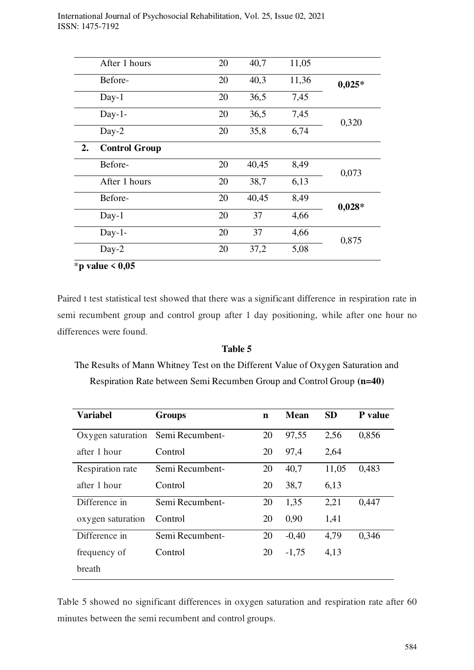|    | After 1 hours        | 20 | 40,7  | 11,05 |          |
|----|----------------------|----|-------|-------|----------|
|    | Before-              | 20 | 40,3  | 11,36 | $0,025*$ |
|    | $Day-1$              | 20 | 36,5  | 7,45  |          |
|    | $Day-1-$             | 20 | 36,5  | 7,45  | 0,320    |
|    | $Day-2$              | 20 | 35,8  | 6,74  |          |
| 2. | <b>Control Group</b> |    |       |       |          |
|    | Before-              | 20 | 40,45 | 8,49  | 0,073    |
|    | After 1 hours        | 20 | 38,7  | 6,13  |          |
|    | Before-              | 20 | 40,45 | 8,49  | $0,028*$ |
|    | $Day-1$              | 20 | 37    | 4,66  |          |
|    | $Day-1-$             | 20 | 37    | 4,66  | 0,875    |
|    | $Day-2$              | 20 | 37,2  | 5,08  |          |

\***p value < 0,05** 

Paired t test statistical test showed that there was a significant difference in respiration rate in semi recumbent group and control group after 1 day positioning, while after one hour no differences were found.

#### **Table 5**

The Results of Mann Whitney Test on the Different Value of Oxygen Saturation and Respiration Rate between Semi Recumben Group and Control Group **(n=40)** 

| <b>Variabel</b>   | <b>Groups</b>   | $\mathbf n$ | <b>Mean</b> | <b>SD</b> | P value |
|-------------------|-----------------|-------------|-------------|-----------|---------|
| Oxygen saturation | Semi Recumbent- | 20          | 97,55       | 2,56      | 0,856   |
| after 1 hour      | Control         | 20          | 97,4        | 2,64      |         |
| Respiration rate  | Semi Recumbent- | 20          | 40,7        | 11,05     | 0,483   |
| after 1 hour      | Control         | 20          | 38,7        | 6,13      |         |
| Difference in     | Semi Recumbent- | 20          | 1,35        | 2,21      | 0,447   |
| oxygen saturation | Control         | 20          | 0,90        | 1,41      |         |
| Difference in     | Semi Recumbent- | 20          | $-0,40$     | 4,79      | 0,346   |
| frequency of      | Control         | 20          | $-1,75$     | 4,13      |         |
| breath            |                 |             |             |           |         |

Table 5 showed no significant differences in oxygen saturation and respiration rate after 60 minutes between the semi recumbent and control groups.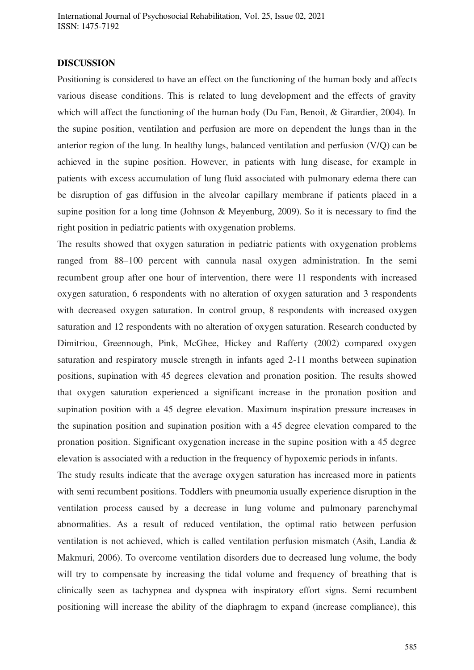International Journal of Psychosocial Rehabilitation, Vol. 25, Issue 02, 2021 ISSN: 1475-7192

#### **DISCUSSION**

Positioning is considered to have an effect on the functioning of the human body and affects various disease conditions. This is related to lung development and the effects of gravity which will affect the functioning of the human body (Du Fan, Benoit, & Girardier, 2004). In the supine position, ventilation and perfusion are more on dependent the lungs than in the anterior region of the lung. In healthy lungs, balanced ventilation and perfusion (V/Q) can be achieved in the supine position. However, in patients with lung disease, for example in patients with excess accumulation of lung fluid associated with pulmonary edema there can be disruption of gas diffusion in the alveolar capillary membrane if patients placed in a supine position for a long time (Johnson & Meyenburg, 2009). So it is necessary to find the right position in pediatric patients with oxygenation problems.

The results showed that oxygen saturation in pediatric patients with oxygenation problems ranged from 88–100 percent with cannula nasal oxygen administration. In the semi recumbent group after one hour of intervention, there were 11 respondents with increased oxygen saturation, 6 respondents with no alteration of oxygen saturation and 3 respondents with decreased oxygen saturation. In control group, 8 respondents with increased oxygen saturation and 12 respondents with no alteration of oxygen saturation. Research conducted by Dimitriou, Greennough, Pink, McGhee, Hickey and Rafferty (2002) compared oxygen saturation and respiratory muscle strength in infants aged 2-11 months between supination positions, supination with 45 degrees elevation and pronation position. The results showed that oxygen saturation experienced a significant increase in the pronation position and supination position with a 45 degree elevation. Maximum inspiration pressure increases in the supination position and supination position with a 45 degree elevation compared to the pronation position. Significant oxygenation increase in the supine position with a 45 degree elevation is associated with a reduction in the frequency of hypoxemic periods in infants.

The study results indicate that the average oxygen saturation has increased more in patients with semi recumbent positions. Toddlers with pneumonia usually experience disruption in the ventilation process caused by a decrease in lung volume and pulmonary parenchymal abnormalities. As a result of reduced ventilation, the optimal ratio between perfusion ventilation is not achieved, which is called ventilation perfusion mismatch (Asih, Landia & Makmuri, 2006). To overcome ventilation disorders due to decreased lung volume, the body will try to compensate by increasing the tidal volume and frequency of breathing that is clinically seen as tachypnea and dyspnea with inspiratory effort signs. Semi recumbent positioning will increase the ability of the diaphragm to expand (increase compliance), this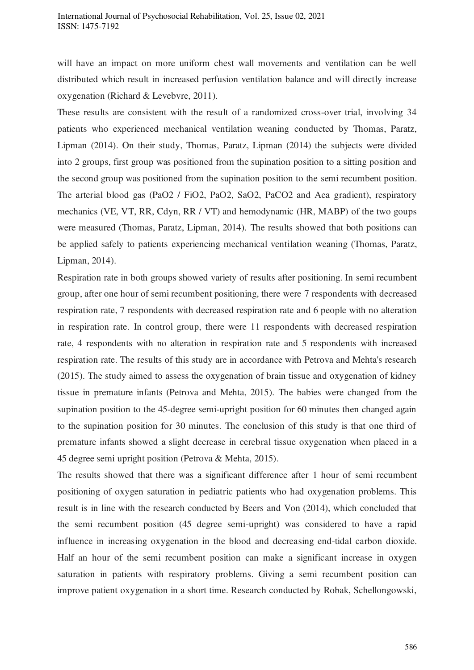will have an impact on more uniform chest wall movements and ventilation can be well distributed which result in increased perfusion ventilation balance and will directly increase oxygenation (Richard & Levebvre, 2011).

These results are consistent with the result of a randomized cross-over trial, involving 34 patients who experienced mechanical ventilation weaning conducted by Thomas, Paratz, Lipman (2014). On their study, Thomas, Paratz, Lipman (2014) the subjects were divided into 2 groups, first group was positioned from the supination position to a sitting position and the second group was positioned from the supination position to the semi recumbent position. The arterial blood gas (PaO2 / FiO2, PaO2, SaO2, PaCO2 and Aea gradient), respiratory mechanics (VE, VT, RR, Cdyn, RR / VT) and hemodynamic (HR, MABP) of the two goups were measured (Thomas, Paratz, Lipman, 2014). The results showed that both positions can be applied safely to patients experiencing mechanical ventilation weaning (Thomas, Paratz, Lipman, 2014).

Respiration rate in both groups showed variety of results after positioning. In semi recumbent group, after one hour of semi recumbent positioning, there were 7 respondents with decreased respiration rate, 7 respondents with decreased respiration rate and 6 people with no alteration in respiration rate. In control group, there were 11 respondents with decreased respiration rate, 4 respondents with no alteration in respiration rate and 5 respondents with increased respiration rate. The results of this study are in accordance with Petrova and Mehta's research (2015). The study aimed to assess the oxygenation of brain tissue and oxygenation of kidney tissue in premature infants (Petrova and Mehta, 2015). The babies were changed from the supination position to the 45-degree semi-upright position for 60 minutes then changed again to the supination position for 30 minutes. The conclusion of this study is that one third of premature infants showed a slight decrease in cerebral tissue oxygenation when placed in a 45 degree semi upright position (Petrova & Mehta, 2015).

The results showed that there was a significant difference after 1 hour of semi recumbent positioning of oxygen saturation in pediatric patients who had oxygenation problems. This result is in line with the research conducted by Beers and Von (2014), which concluded that the semi recumbent position (45 degree semi-upright) was considered to have a rapid influence in increasing oxygenation in the blood and decreasing end-tidal carbon dioxide. Half an hour of the semi recumbent position can make a significant increase in oxygen saturation in patients with respiratory problems. Giving a semi recumbent position can improve patient oxygenation in a short time. Research conducted by Robak, Schellongowski,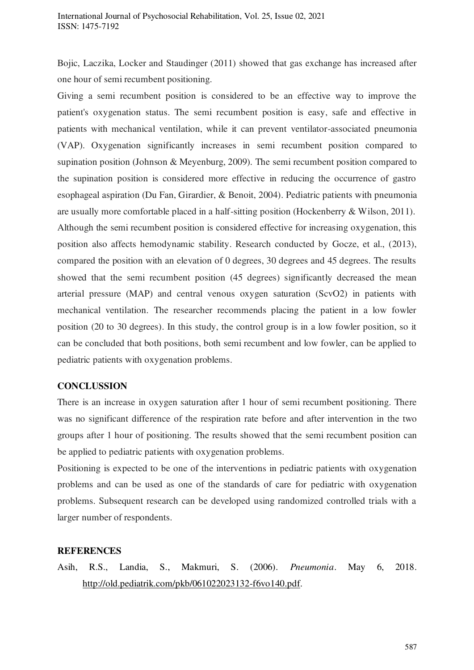Bojic, Laczika, Locker and Staudinger (2011) showed that gas exchange has increased after one hour of semi recumbent positioning.

Giving a semi recumbent position is considered to be an effective way to improve the patient's oxygenation status. The semi recumbent position is easy, safe and effective in patients with mechanical ventilation, while it can prevent ventilator-associated pneumonia (VAP). Oxygenation significantly increases in semi recumbent position compared to supination position (Johnson & Meyenburg, 2009). The semi recumbent position compared to the supination position is considered more effective in reducing the occurrence of gastro esophageal aspiration (Du Fan, Girardier, & Benoit, 2004). Pediatric patients with pneumonia are usually more comfortable placed in a half-sitting position (Hockenberry & Wilson, 2011). Although the semi recumbent position is considered effective for increasing oxygenation, this position also affects hemodynamic stability. Research conducted by Gocze, et al., (2013), compared the position with an elevation of 0 degrees, 30 degrees and 45 degrees. The results showed that the semi recumbent position (45 degrees) significantly decreased the mean arterial pressure (MAP) and central venous oxygen saturation (ScvO2) in patients with mechanical ventilation. The researcher recommends placing the patient in a low fowler position (20 to 30 degrees). In this study, the control group is in a low fowler position, so it can be concluded that both positions, both semi recumbent and low fowler, can be applied to pediatric patients with oxygenation problems.

# **CONCLUSSION**

There is an increase in oxygen saturation after 1 hour of semi recumbent positioning. There was no significant difference of the respiration rate before and after intervention in the two groups after 1 hour of positioning. The results showed that the semi recumbent position can be applied to pediatric patients with oxygenation problems.

Positioning is expected to be one of the interventions in pediatric patients with oxygenation problems and can be used as one of the standards of care for pediatric with oxygenation problems. Subsequent research can be developed using randomized controlled trials with a larger number of respondents.

# **REFERENCES**

Asih, R.S., Landia, S., Makmuri, S. (2006). *Pneumonia*. May 6, 2018. [http://old.pediatrik.com/pkb/061022023132-f6vo140.pdf.](http://old.pediatrik.com/pkb/061022023132-f6vo140.pdf)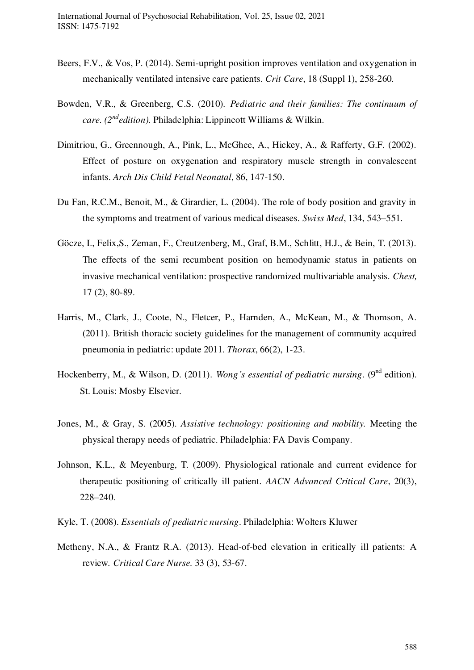- Beers, F.V., & Vos, P. (2014). Semi-upright position improves ventilation and oxygenation in mechanically ventilated intensive care patients. *Crit Care*, 18 (Suppl 1), 258-260.
- Bowden, V.R., & Greenberg, C.S. (2010). *Pediatric and their families: The continuum of care. (2ndedition).* Philadelphia: Lippincott Williams & Wilkin.
- Dimitriou, G., Greennough, A., Pink, L., McGhee, A., Hickey, A., & Rafferty, G.F. (2002). Effect of posture on oxygenation and respiratory muscle strength in convalescent infants. *Arch Dis Child Fetal Neonatal*, 86, 147-150.
- Du Fan, R.C.M., Benoit, M., & Girardier, L. (2004). The role of body position and gravity in the symptoms and treatment of various medical diseases. *Swiss Med*, 134, 543–551.
- [Göcze, I.](http://www.ncbi.nlm.nih.gov/pubmed/?term=G%C3%B6cze%20I%5BAuthor%5D&cauthor=true&cauthor_uid=23622019), Felix,S., Zeman, F., Creutzenberg, M., Graf, B.M., Schlitt, H.J., & Bein, T. (2013). The effects of the semi recumbent position on hemodynamic status in patients on invasive mechanical ventilation: prospective randomized multivariable analysis. *Chest,*  17 (2), 80-89.
- Harris, M., Clark, J., Coote, N., Fletcer, P., Harnden, A., McKean, M., & Thomson, A. (2011). British thoracic society guidelines for the management of community acquired pneumonia in pediatric: update 2011. *Thorax*, 66(2), 1-23.
- Hockenberry, M., & Wilson, D. (2011). *Wong's essential of pediatric nursing*. (9<sup>nd</sup> edition). St. Louis: Mosby Elsevier.
- Jones, M., & Gray, S. (2005). *Assistive technology: positioning and mobility.* Meeting the physical therapy needs of pediatric. Philadelphia: FA Davis Company.
- Johnson, K.L., & Meyenburg, T. (2009). Physiological rationale and current evidence for therapeutic positioning of critically ill patient. *AACN Advanced Critical Care*, 20(3), 228–240.
- Kyle, T. (2008). *Essentials of pediatric nursing*. Philadelphia: Wolters Kluwer
- Metheny, N.A., & Frantz R.A. (2013). Head-of-bed elevation in critically ill patients: A review*. Critical Care Nurse.* 33 (3), 53-67.